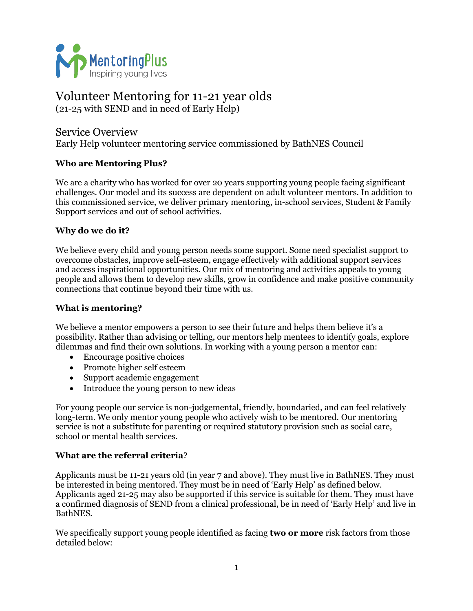

# Volunteer Mentoring for 11-21 year olds

(21-25 with SEND and in need of Early Help)

Service Overview Early Help volunteer mentoring service commissioned by BathNES Council

# **Who are Mentoring Plus?**

We are a charity who has worked for over 20 years supporting young people facing significant challenges. Our model and its success are dependent on adult volunteer mentors. In addition to this commissioned service, we deliver primary mentoring, in-school services, Student & Family Support services and out of school activities.

# **Why do we do it?**

We believe every child and young person needs some support. Some need specialist support to overcome obstacles, improve self-esteem, engage effectively with additional support services and access inspirational opportunities. Our mix of mentoring and activities appeals to young people and allows them to develop new skills, grow in confidence and make positive community connections that continue beyond their time with us.

## **What is mentoring?**

We believe a mentor empowers a person to see their future and helps them believe it's a possibility. Rather than advising or telling, our mentors help mentees to identify goals, explore dilemmas and find their own solutions. In working with a young person a mentor can:

- Encourage positive choices
- Promote higher self esteem
- Support academic engagement
- Introduce the young person to new ideas

For young people our service is non-judgemental, friendly, boundaried, and can feel relatively long-term. We only mentor young people who actively wish to be mentored. Our mentoring service is not a substitute for parenting or required statutory provision such as social care, school or mental health services.

### **What are the referral criteria**?

Applicants must be 11-21 years old (in year 7 and above). They must live in BathNES. They must be interested in being mentored. They must be in need of 'Early Help' as defined below. Applicants aged 21-25 may also be supported if this service is suitable for them. They must have a confirmed diagnosis of SEND from a clinical professional, be in need of 'Early Help' and live in BathNES.

We specifically support young people identified as facing **two or more** risk factors from those detailed below: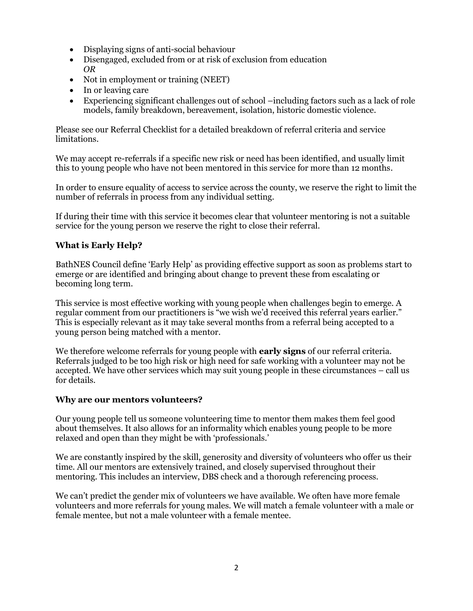- Displaying signs of anti-social behaviour
- Disengaged, excluded from or at risk of exclusion from education *OR*
- Not in employment or training (NEET)
- In or leaving care
- Experiencing significant challenges out of school –including factors such as a lack of role models, family breakdown, bereavement, isolation, historic domestic violence.

Please see our Referral Checklist for a detailed breakdown of referral criteria and service limitations.

We may accept re-referrals if a specific new risk or need has been identified, and usually limit this to young people who have not been mentored in this service for more than 12 months.

In order to ensure equality of access to service across the county, we reserve the right to limit the number of referrals in process from any individual setting.

If during their time with this service it becomes clear that volunteer mentoring is not a suitable service for the young person we reserve the right to close their referral.

## **What is Early Help?**

BathNES Council define 'Early Help' as providing effective support as soon as problems start to emerge or are identified and bringing about change to prevent these from escalating or becoming long term.

This service is most effective working with young people when challenges begin to emerge. A regular comment from our practitioners is "we wish we'd received this referral years earlier." This is especially relevant as it may take several months from a referral being accepted to a young person being matched with a mentor.

We therefore welcome referrals for young people with **early signs** of our referral criteria. Referrals judged to be too high risk or high need for safe working with a volunteer may not be accepted. We have other services which may suit young people in these circumstances – call us for details.

#### **Why are our mentors volunteers?**

Our young people tell us someone volunteering time to mentor them makes them feel good about themselves. It also allows for an informality which enables young people to be more relaxed and open than they might be with 'professionals.'

We are constantly inspired by the skill, generosity and diversity of volunteers who offer us their time. All our mentors are extensively trained, and closely supervised throughout their mentoring. This includes an interview, DBS check and a thorough referencing process.

We can't predict the gender mix of volunteers we have available. We often have more female volunteers and more referrals for young males. We will match a female volunteer with a male or female mentee, but not a male volunteer with a female mentee.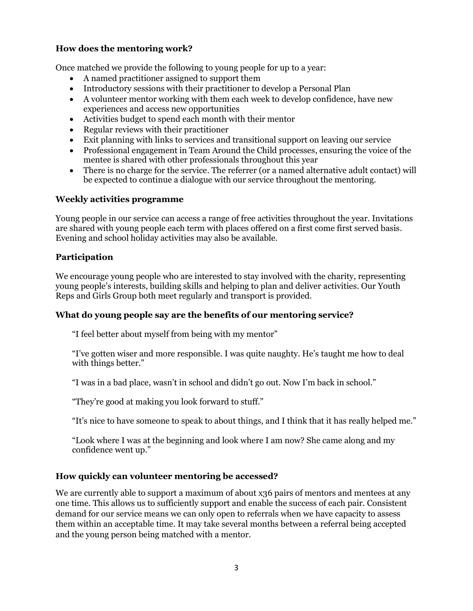## **How does the mentoring work?**

Once matched we provide the following to young people for up to a year:

- A named practitioner assigned to support them
- Introductory sessions with their practitioner to develop a Personal Plan
- A volunteer mentor working with them each week to develop confidence, have new experiences and access new opportunities
- Activities budget to spend each month with their mentor
- Regular reviews with their practitioner
- Exit planning with links to services and transitional support on leaving our service
- Professional engagement in Team Around the Child processes, ensuring the voice of the mentee is shared with other professionals throughout this year
- There is no charge for the service. The referrer (or a named alternative adult contact) will be expected to continue a dialogue with our service throughout the mentoring.

#### **Weekly activities programme**

Young people in our service can access a range of free activities throughout the year. Invitations are shared with young people each term with places offered on a first come first served basis. Evening and school holiday activities may also be available.

#### **Participation**

We encourage young people who are interested to stay involved with the charity, representing young people's interests, building skills and helping to plan and deliver activities. Our Youth Reps and Girls Group both meet regularly and transport is provided.

### **What do young people say are the benefits of our mentoring service?**

"I feel better about myself from being with my mentor"

"I've gotten wiser and more responsible. I was quite naughty. He's taught me how to deal with things better."

"I was in a bad place, wasn't in school and didn't go out. Now I'm back in school."

"They're good at making you look forward to stuff."

"It's nice to have someone to speak to about things, and I think that it has really helped me."

"Look where I was at the beginning and look where I am now? She came along and my confidence went up."

### **How quickly can volunteer mentoring be accessed?**

We are currently able to support a maximum of about x36 pairs of mentors and mentees at any one time. This allows us to sufficiently support and enable the success of each pair. Consistent demand for our service means we can only open to referrals when we have capacity to assess them within an acceptable time. It may take several months between a referral being accepted and the young person being matched with a mentor.